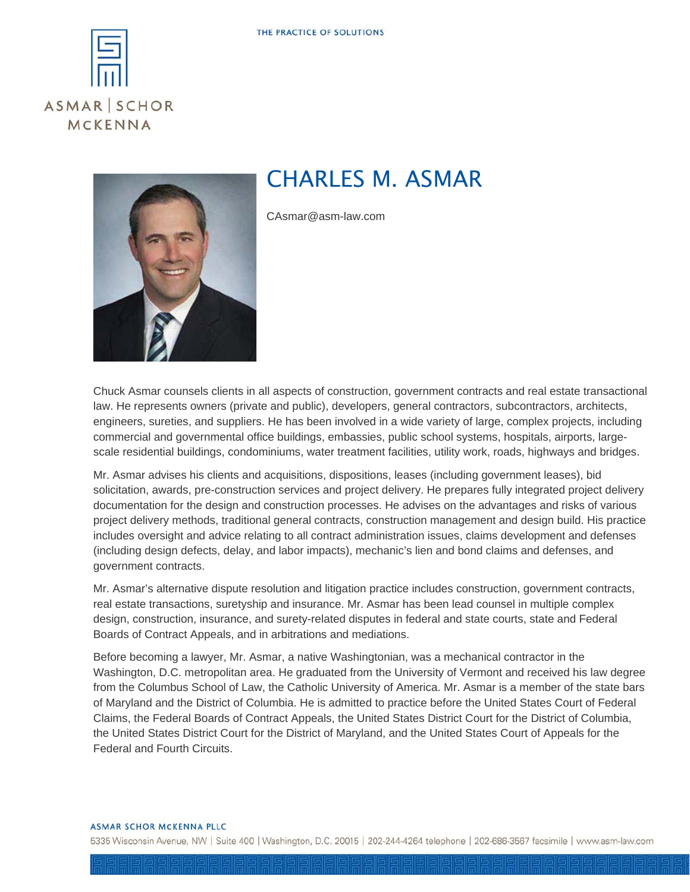



## CHARLES M. ASMAR

CAsmar@asm-law.com

Chuck Asmar counsels clients in all aspects of construction, government contracts and real estate transactional law. He represents owners (private and public), developers, general contractors, subcontractors, architects, engineers, sureties, and suppliers. He has been involved in a wide variety of large, complex projects, including commercial and governmental office buildings, embassies, public school systems, hospitals, airports, largescale residential buildings, condominiums, water treatment facilities, utility work, roads, highways and bridges.

Mr. Asmar advises his clients and acquisitions, dispositions, leases (including government leases), bid solicitation, awards, pre-construction services and project delivery. He prepares fully integrated project delivery documentation for the design and construction processes. He advises on the advantages and risks of various project delivery methods, traditional general contracts, construction management and design build. His practice includes oversight and advice relating to all contract administration issues, claims development and defenses (including design defects, delay, and labor impacts), mechanic's lien and bond claims and defenses, and government contracts.

Mr. Asmar's alternative dispute resolution and litigation practice includes construction, government contracts, real estate transactions, suretyship and insurance. Mr. Asmar has been lead counsel in multiple complex design, construction, insurance, and surety-related disputes in federal and state courts, state and Federal Boards of Contract Appeals, and in arbitrations and mediations.

Before becoming a lawyer, Mr. Asmar, a native Washingtonian, was a mechanical contractor in the Washington, D.C. metropolitan area. He graduated from the University of Vermont and received his law degree from the Columbus School of Law, the Catholic University of America. Mr. Asmar is a member of the state bars of Maryland and the District of Columbia. He is admitted to practice before the United States Court of Federal Claims, the Federal Boards of Contract Appeals, the United States District Court for the District of Columbia, the United States District Court for the District of Maryland, and the United States Court of Appeals for the Federal and Fourth Circuits.